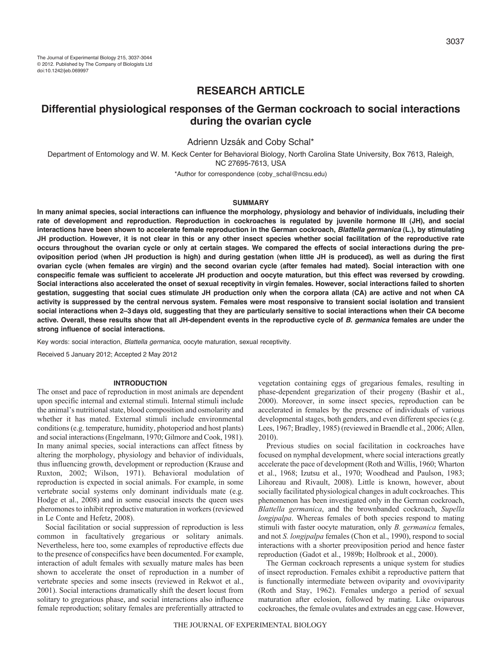The Journal of Experimental Biology 215, 3037-3044 © 2012. Published by The Company of Biologists Ltd doi:10.1242/jeb.069997

# **RESEARCH ARTICLE**

# **Differential physiological responses of the German cockroach to social interactions during the ovarian cycle**

### Adrienn Uzsák and Coby Schal\*

Department of Entomology and W. M. Keck Center for Behavioral Biology, North Carolina State University, Box 7613, Raleigh, NC 27695-7613, USA

\*Author for correspondence (coby\_schal@ncsu.edu)

#### **SUMMARY**

**In many animal species, social interactions can influence the morphology, physiology and behavior of individuals, including their rate of development and reproduction. Reproduction in cockroaches is regulated by juvenile hormone III (JH), and social interactions have been shown to accelerate female reproduction in the German cockroach,** *Blattella germanica* **(L.), by stimulating JH production. However, it is not clear in this or any other insect species whether social facilitation of the reproductive rate occurs throughout the ovarian cycle or only at certain stages. We compared the effects of social interactions during the preoviposition period (when JH production is high) and during gestation (when little JH is produced), as well as during the first ovarian cycle (when females are virgin) and the second ovarian cycle (after females had mated). Social interaction with one conspecific female was sufficient to accelerate JH production and oocyte maturation, but this effect was reversed by crowding. Social interactions also accelerated the onset of sexual receptivity in virgin females. However, social interactions failed to shorten gestation, suggesting that social cues stimulate JH production only when the corpora allata (CA) are active and not when CA activity is suppressed by the central nervous system. Females were most responsive to transient social isolation and transient social interactions when 2–3days old, suggesting that they are particularly sensitive to social interactions when their CA become active. Overall, these results show that all JH-dependent events in the reproductive cycle of** *B. germanica* **females are under the strong influence of social interactions.**

Key words: social interaction, *Blattella germanica*, oocyte maturation, sexual receptivity.

Received 5 January 2012; Accepted 2 May 2012

#### **INTRODUCTION**

The onset and pace of reproduction in most animals are dependent upon specific internal and external stimuli. Internal stimuli include the animal's nutritional state, blood composition and osmolarity and whether it has mated. External stimuli include environmental conditions (e.g. temperature, humidity, photoperiod and host plants) and social interactions (Engelmann, 1970; Gilmore and Cook, 1981). In many animal species, social interactions can affect fitness by altering the morphology, physiology and behavior of individuals, thus influencing growth, development or reproduction (Krause and Ruxton, 2002; Wilson, 1971). Behavioral modulation of reproduction is expected in social animals. For example, in some vertebrate social systems only dominant individuals mate (e.g. Hodge et al., 2008) and in some eusocial insects the queen uses pheromones to inhibit reproductive maturation in workers (reviewed in Le Conte and Hefetz, 2008).

Social facilitation or social suppression of reproduction is less common in facultatively gregarious or solitary animals. Nevertheless, here too, some examples of reproductive effects due to the presence of conspecifics have been documented. For example, interaction of adult females with sexually mature males has been shown to accelerate the onset of reproduction in a number of vertebrate species and some insects (reviewed in Rekwot et al., 2001). Social interactions dramatically shift the desert locust from solitary to gregarious phase, and social interactions also influence female reproduction; solitary females are preferentially attracted to

vegetation containing eggs of gregarious females, resulting in phase-dependent gregarization of their progeny (Bashir et al., 2000). Moreover, in some insect species, reproduction can be accelerated in females by the presence of individuals of various developmental stages, both genders, and even different species (e.g. Lees, 1967; Bradley, 1985) (reviewed in Braendle et al., 2006; Allen, 2010).

Previous studies on social facilitation in cockroaches have focused on nymphal development, where social interactions greatly accelerate the pace of development (Roth and Willis, 1960; Wharton et al., 1968; Izutsu et al., 1970; Woodhead and Paulson, 1983; Lihoreau and Rivault, 2008). Little is known, however, about socially facilitated physiological changes in adult cockroaches. This phenomenon has been investigated only in the German cockroach, *Blattella germanica*, and the brownbanded cockroach, *Supella longipalpa*. Whereas females of both species respond to mating stimuli with faster oocyte maturation, only *B. germanica* females, and not *S. longipalpa* females (Chon et al., 1990), respond to social interactions with a shorter preoviposition period and hence faster reproduction (Gadot et al., 1989b; Holbrook et al., 2000).

The German cockroach represents a unique system for studies of insect reproduction. Females exhibit a reproductive pattern that is functionally intermediate between oviparity and ovoviviparity (Roth and Stay, 1962). Females undergo a period of sexual maturation after eclosion, followed by mating. Like oviparous cockroaches, the female ovulates and extrudes an egg case. However,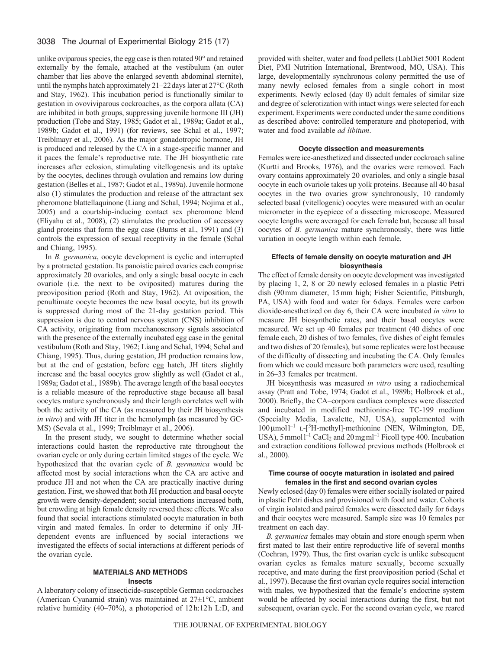## 3038 The Journal of Experimental Biology 215 (17)

unlike oviparous species, the egg case is then rotated 90° and retained externally by the female, attached at the vestibulum (an outer chamber that lies above the enlarged seventh abdominal sternite), until the nymphs hatch approximately 21–22days later at 27°C (Roth and Stay, 1962). This incubation period is functionally similar to gestation in ovoviviparous cockroaches, as the corpora allata (CA) are inhibited in both groups, suppressing juvenile hormone III (JH) production (Tobe and Stay, 1985; Gadot et al., 1989a; Gadot et al., 1989b; Gadot et al., 1991) (for reviews, see Schal et al., 1997; Treiblmayr et al., 2006). As the major gonadotropic hormone, JH is produced and released by the CA in a stage-specific manner and it paces the female's reproductive rate. The JH biosynthetic rate increases after eclosion, stimulating vitellogenesis and its uptake by the oocytes, declines through ovulation and remains low during gestation (Belles et al., 1987; Gadot et al., 1989a). Juvenile hormone also (1) stimulates the production and release of the attractant sex pheromone blattellaquinone (Liang and Schal, 1994; Nojima et al., 2005) and a courtship-inducing contact sex pheromone blend (Eliyahu et al., 2008), (2) stimulates the production of accessory gland proteins that form the egg case (Burns et al., 1991) and (3) controls the expression of sexual receptivity in the female (Schal and Chiang, 1995).

In *B. germanica*, oocyte development is cyclic and interrupted by a protracted gestation. Its panoistic paired ovaries each comprise approximately 20 ovarioles, and only a single basal oocyte in each ovariole (i.e. the next to be oviposited) matures during the preoviposition period (Roth and Stay, 1962). At oviposition, the penultimate oocyte becomes the new basal oocyte, but its growth is suppressed during most of the 21-day gestation period. This suppression is due to central nervous system (CNS) inhibition of CA activity, originating from mechanosensory signals associated with the presence of the externally incubated egg case in the genital vestibulum (Roth and Stay, 1962; Liang and Schal, 1994; Schal and Chiang, 1995). Thus, during gestation, JH production remains low, but at the end of gestation, before egg hatch, JH titers slightly increase and the basal oocytes grow slightly as well (Gadot et al., 1989a; Gadot et al., 1989b). The average length of the basal oocytes is a reliable measure of the reproductive stage because all basal oocytes mature synchronously and their length correlates well with both the activity of the CA (as measured by their JH biosynthesis *in vitro*) and with JH titer in the hemolymph (as measured by GC-MS) (Sevala et al., 1999; Treiblmayr et al., 2006).

In the present study, we sought to determine whether social interactions could hasten the reproductive rate throughout the ovarian cycle or only during certain limited stages of the cycle. We hypothesized that the ovarian cycle of *B. germanica* would be affected most by social interactions when the CA are active and produce JH and not when the CA are practically inactive during gestation. First, we showed that both JH production and basal oocyte growth were density-dependent; social interactions increased both, but crowding at high female density reversed these effects. We also found that social interactions stimulated oocyte maturation in both virgin and mated females. In order to determine if only JHdependent events are influenced by social interactions we investigated the effects of social interactions at different periods of the ovarian cycle.

## **MATERIALS AND METHODS Insects**

A laboratory colony of insecticide-susceptible German cockroaches (American Cyanamid strain) was maintained at 27±1°C, ambient relative humidity (40–70%), a photoperiod of 12h:12h L:D, and provided with shelter, water and food pellets (LabDiet 5001 Rodent Diet, PMI Nutrition International, Brentwood, MO, USA). This large, developmentally synchronous colony permitted the use of many newly eclosed females from a single cohort in most experiments. Newly eclosed (day 0) adult females of similar size and degree of sclerotization with intact wings were selected for each experiment. Experiments were conducted under the same conditions as described above: controlled temperature and photoperiod, with water and food available *ad libitum*.

#### **Oocyte dissection and measurements**

Females were ice-anesthetized and dissected under cockroach saline (Kurtti and Brooks, 1976), and the ovaries were removed. Each ovary contains approximately 20 ovarioles, and only a single basal oocyte in each ovariole takes up yolk proteins. Because all 40 basal oocytes in the two ovaries grow synchronously, 10 randomly selected basal (vitellogenic) oocytes were measured with an ocular micrometer in the eyepiece of a dissecting microscope. Measured oocyte lengths were averaged for each female but, because all basal oocytes of *B. germanica* mature synchronously, there was little variation in oocyte length within each female.

### **Effects of female density on oocyte maturation and JH biosynthesis**

The effect of female density on oocyte development was investigated by placing 1, 2, 8 or 20 newly eclosed females in a plastic Petri dish (90mm diameter, 15mm high; Fisher Scientific, Pittsburgh, PA, USA) with food and water for 6days. Females were carbon dioxide-anesthetized on day 6, their CA were incubated *in vitro* to measure JH biosynthetic rates, and their basal oocytes were measured. We set up 40 females per treatment (40 dishes of one female each, 20 dishes of two females, five dishes of eight females and two dishes of 20 females), but some replicates were lost because of the difficulty of dissecting and incubating the CA. Only females from which we could measure both parameters were used, resulting in 26–33 females per treatment.

JH biosynthesis was measured *in vitro* using a radiochemical assay (Pratt and Tobe, 1974; Gadot et al., 1989b; Holbrook et al., 2000). Briefly, the CA–corpora cardiaca complexes were dissected and incubated in modified methionine-free TC-199 medium (Specialty Media, Lavalette, NJ, USA), supplemented with 100 μmol<sup>1-1</sup> L-<sup>[3</sup>H-methyl]-methionine (NEN, Wilmington, DE, USA), 5 mmol  $l^{-1}$  CaCl<sub>2</sub> and 20 mg ml<sup>-1</sup> Ficoll type 400. Incubation and extraction conditions followed previous methods (Holbrook et al., 2000).

#### **Time course of oocyte maturation in isolated and paired females in the first and second ovarian cycles**

Newly eclosed (day 0) females were either socially isolated or paired in plastic Petri dishes and provisioned with food and water. Cohorts of virgin isolated and paired females were dissected daily for 6days and their oocytes were measured. Sample size was 10 females per treatment on each day.

*B. germanica* females may obtain and store enough sperm when first mated to last their entire reproductive life of several months (Cochran, 1979). Thus, the first ovarian cycle is unlike subsequent ovarian cycles as females mature sexually, become sexually receptive, and mate during the first preoviposition period (Schal et al., 1997). Because the first ovarian cycle requires social interaction with males, we hypothesized that the female's endocrine system would be affected by social interactions during the first, but not subsequent, ovarian cycle. For the second ovarian cycle, we reared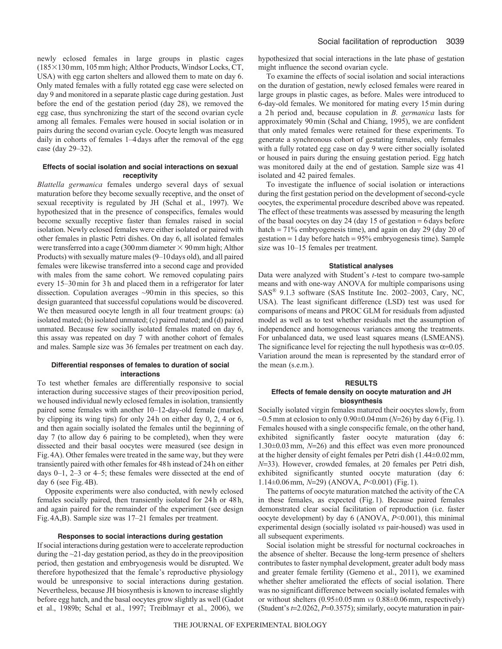newly eclosed females in large groups in plastic cages (185-130mm, 105mm high; Althor Products, Windsor Locks, CT, USA) with egg carton shelters and allowed them to mate on day 6. Only mated females with a fully rotated egg case were selected on day 9 and monitored in a separate plastic cage during gestation. Just before the end of the gestation period (day 28), we removed the egg case, thus synchronizing the start of the second ovarian cycle among all females. Females were housed in social isolation or in pairs during the second ovarian cycle. Oocyte length was measured daily in cohorts of females 1–4days after the removal of the egg case (day 29–32).

## **Effects of social isolation and social interactions on sexual receptivity**

*Blattella germanica* females undergo several days of sexual maturation before they become sexually receptive, and the onset of sexual receptivity is regulated by JH (Schal et al., 1997). We hypothesized that in the presence of conspecifics, females would become sexually receptive faster than females raised in social isolation. Newly eclosed females were either isolated or paired with other females in plastic Petri dishes. On day 6, all isolated females were transferred into a cage (300 mm diameter  $\times$  90 mm high; Althor Products) with sexually mature males (9–10days old), and all paired females were likewise transferred into a second cage and provided with males from the same cohort. We removed copulating pairs every 15–30min for 3h and placed them in a refrigerator for later dissection. Copulation averages ~90min in this species, so this design guaranteed that successful copulations would be discovered. We then measured oocyte length in all four treatment groups: (a) isolated mated; (b) isolated unmated; (c) paired mated; and (d) paired unmated. Because few socially isolated females mated on day 6, this assay was repeated on day 7 with another cohort of females and males. Sample size was 36 females per treatment on each day.

### **Differential responses of females to duration of social interactions**

To test whether females are differentially responsive to social interaction during successive stages of their preoviposition period, we housed individual newly eclosed females in isolation, transiently paired some females with another 10–12-day-old female (marked by clipping its wing tips) for only 24h on either day 0, 2, 4 or 6, and then again socially isolated the females until the beginning of day 7 (to allow day 6 pairing to be completed), when they were dissected and their basal oocytes were measured (see design in Fig.4A). Other females were treated in the same way, but they were transiently paired with other females for 48h instead of 24h on either days 0–1, 2–3 or 4–5; these females were dissected at the end of day 6 (see Fig.4B).

Opposite experiments were also conducted, with newly eclosed females socially paired, then transiently isolated for 24h or 48h, and again paired for the remainder of the experiment (see design Fig.4A,B). Sample size was 17–21 females per treatment.

#### **Responses to social interactions during gestation**

If social interactions during gestation were to accelerate reproduction during the ~21-day gestation period, as they do in the preoviposition period, then gestation and embryogenesis would be disrupted. We therefore hypothesized that the female's reproductive physiology would be unresponsive to social interactions during gestation. Nevertheless, because JH biosynthesis is known to increase slightly before egg hatch, and the basal oocytes grow slightly as well (Gadot et al., 1989b; Schal et al., 1997; Treiblmayr et al., 2006), we hypothesized that social interactions in the late phase of gestation might influence the second ovarian cycle.

To examine the effects of social isolation and social interactions on the duration of gestation, newly eclosed females were reared in large groups in plastic cages, as before. Males were introduced to 6-day-old females. We monitored for mating every 15min during a 2h period and, because copulation in *B. germanica* lasts for approximately 90min (Schal and Chiang, 1995), we are confident that only mated females were retained for these experiments. To generate a synchronous cohort of gestating females, only females with a fully rotated egg case on day 9 were either socially isolated or housed in pairs during the ensuing gestation period. Egg hatch was monitored daily at the end of gestation. Sample size was 41 isolated and 42 paired females.

To investigate the influence of social isolation or interactions during the first gestation period on the development of second-cycle oocytes, the experimental procedure described above was repeated. The effect of these treatments was assessed by measuring the length of the basal oocytes on day 24 (day 15 of gestation  $= 6$  days before hatch  $= 71\%$  embryogenesis time), and again on day 29 (day 20 of  $gestation = 1$  day before hatch = 95% embryogenesis time). Sample size was 10–15 females per treatment.

#### **Statistical analyses**

Data were analyzed with Student's *t*-test to compare two-sample means and with one-way ANOVA for multiple comparisons using SAS® 9.1.3 software (SAS Institute Inc. 2002–2003, Cary, NC, USA). The least significant difference (LSD) test was used for comparisons of means and PROC GLM for residuals from adjusted model as well as to test whether residuals met the assumption of independence and homogeneous variances among the treatments. For unbalanced data, we used least squares means (LSMEANS). The significance level for rejecting the null hypothesis was  $\alpha$ =0.05. Variation around the mean is represented by the standard error of the mean (s.e.m.).

### **RESULTS**

#### **Effects of female density on oocyte maturation and JH biosynthesis**

Socially isolated virgin females matured their oocytes slowly, from  $\sim$ 0.5 mm at eclosion to only 0.90 $\pm$ 0.04 mm (*N*=26) by day 6 (Fig. 1). Females housed with a single conspecific female, on the other hand, exhibited significantly faster oocyte maturation (day 6: 1.30 $\pm$ 0.03 mm, *N*=26) and this effect was even more pronounced at the higher density of eight females per Petri dish (1.44±0.02mm, *N*=33). However, crowded females, at 20 females per Petri dish, exhibited significantly stunted oocyte maturation (day 6: 1.14±0.06mm, *N*29) (ANOVA, *P*<0.001) (Fig.1).

The patterns of oocyte maturation matched the activity of the CA in these females, as expected (Fig.1). Because paired females demonstrated clear social facilitation of reproduction (i.e. faster oocyte development) by day 6 (ANOVA, *P*<0.001), this minimal experimental design (socially isolated *vs* pair-housed) was used in all subsequent experiments.

Social isolation might be stressful for nocturnal cockroaches in the absence of shelter. Because the long-term presence of shelters contributes to faster nymphal development, greater adult body mass and greater female fertility (Gemeno et al., 2011), we examined whether shelter ameliorated the effects of social isolation. There was no significant difference between socially isolated females with or without shelters (0.95±0.05mm *vs* 0.88±0.06mm, respectively) (Student's  $t=2.0262$ ,  $P=0.3575$ ); similarly, oocyte maturation in pair-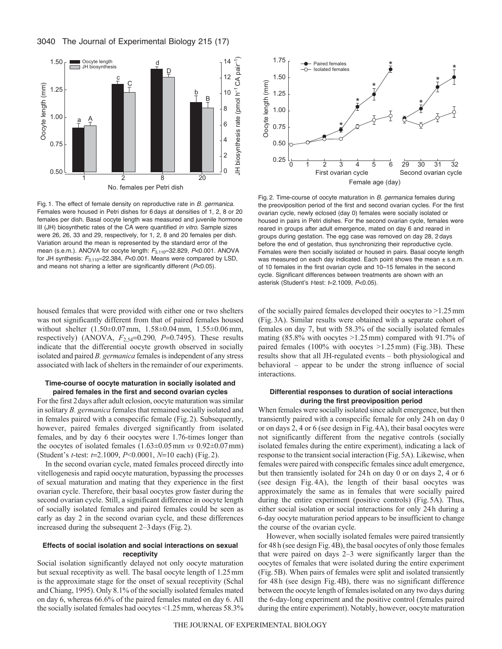

Fig. 1. The effect of female density on reproductive rate in *B. germanica*. Females were housed in Petri dishes for 6 days at densities of 1, 2, 8 or 20 females per dish. Basal oocyte length was measured and juvenile hormone III (JH) biosynthetic rates of the CA were quantified *in vitro*. Sample sizes were 26, 26, 33 and 29, respectively, for 1, 2, 8 and 20 females per dish. Variation around the mean is represented by the standard error of the mean (s.e.m.). ANOVA for oocyte length:  $F_{3,110}$ =32.829, *P*<0.001. ANOVA for JH synthesis:  $F_{3,110}$ =22.384, *P*<0.001. Means were compared by LSD, and means not sharing a letter are significantly different (*P*<0.05).

housed females that were provided with either one or two shelters was not significantly different from that of paired females housed without shelter (1.50±0.07mm, 1.58±0.04mm, 1.55±0.06mm, respectively) (ANOVA,  $F_{2,54}=0.290$ ,  $P=0.7495$ ). These results indicate that the differential oocyte growth observed in socially isolated and paired *B. germanica* females is independent of any stress associated with lack of shelters in the remainder of our experiments.

## **Time-course of oocyte maturation in socially isolated and paired females in the first and second ovarian cycles**

For the first 2days after adult eclosion, oocyte maturation was similar in solitary *B. germanica* females that remained socially isolated and in females paired with a conspecific female (Fig.2). Subsequently, however, paired females diverged significantly from isolated females, and by day 6 their oocytes were 1.76-times longer than the oocytes of isolated females (1.63±0.05mm *vs* 0.92±0.07mm) (Student's *t*-test: *t*=2.1009, *P*<0.0001, *N*=10 each) (Fig. 2).

In the second ovarian cycle, mated females proceed directly into vitellogenesis and rapid oocyte maturation, bypassing the processes of sexual maturation and mating that they experience in the first ovarian cycle. Therefore, their basal oocytes grow faster during the second ovarian cycle. Still, a significant difference in oocyte length of socially isolated females and paired females could be seen as early as day 2 in the second ovarian cycle, and these differences increased during the subsequent 2–3days (Fig.2).

## **Effects of social isolation and social interactions on sexual receptivity**

Social isolation significantly delayed not only oocyte maturation but sexual receptivity as well. The basal oocyte length of 1.25mm is the approximate stage for the onset of sexual receptivity (Schal and Chiang, 1995). Only 8.1% of the socially isolated females mated on day 6, whereas 66.6% of the paired females mated on day 6. All the socially isolated females had oocytes <1.25mm, whereas 58.3%



Fig. 2. Time-course of oocyte maturation in *B. germanica* females during the preoviposition period of the first and second ovarian cycles. For the first ovarian cycle, newly eclosed (day 0) females were socially isolated or housed in pairs in Petri dishes. For the second ovarian cycle, females were reared in groups after adult emergence, mated on day 6 and reared in groups during gestation. The egg case was removed on day 28, 2 days before the end of gestation, thus synchronizing their reproductive cycle. Females were then socially isolated or housed in pairs. Basal oocyte length was measured on each day indicated. Each point shows the mean  $\pm$  s.e.m. of 10 females in the first ovarian cycle and 10–15 females in the second cycle. Significant differences between treatments are shown with an asterisk (Student's *t*-test: *t*2.1009, *P*<0.05).

of the socially paired females developed their oocytes to >1.25mm (Fig.3A). Similar results were obtained with a separate cohort of females on day 7, but with 58.3% of the socially isolated females mating (85.8% with oocytes >1.25mm) compared with 91.7% of paired females (100% with oocytes >1.25mm) (Fig.3B). These results show that all JH-regulated events – both physiological and behavioral – appear to be under the strong influence of social interactions.

## **Differential responses to duration of social interactions during the first preoviposition period**

When females were socially isolated since adult emergence, but then transiently paired with a conspecific female for only 24h on day 0 or on days 2, 4 or 6 (see design in Fig.4A), their basal oocytes were not significantly different from the negative controls (socially isolated females during the entire experiment), indicating a lack of response to the transient social interaction (Fig.5A). Likewise, when females were paired with conspecific females since adult emergence, but then transiently isolated for 24h on day 0 or on days 2, 4 or 6 (see design Fig. 4A), the length of their basal oocytes was approximately the same as in females that were socially paired during the entire experiment (positive controls) (Fig.5A). Thus, either social isolation or social interactions for only 24h during a 6-day oocyte maturation period appears to be insufficient to change the course of the ovarian cycle.

However, when socially isolated females were paired transiently for 48h (see design Fig.4B), the basal oocytes of only those females that were paired on days 2–3 were significantly larger than the oocytes of females that were isolated during the entire experiment (Fig.5B). When pairs of females were split and isolated transiently for 48h (see design Fig.4B), there was no significant difference between the oocyte length of females isolated on any two days during the 6-day-long experiment and the positive control (females paired during the entire experiment). Notably, however, oocyte maturation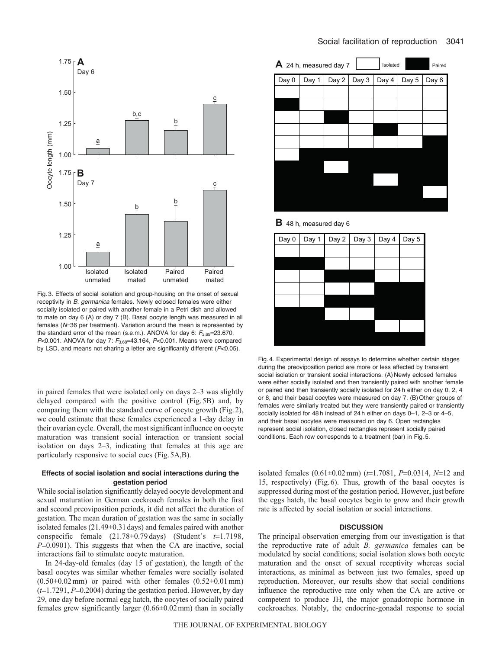

Fig. 3. Effects of social isolation and group-housing on the onset of sexual receptivity in *B. germanica* females. Newly eclosed females were either socially isolated or paired with another female in a Petri dish and allowed to mate on day 6 (A) or day 7 (B). Basal oocyte length was measured in all females (N=36 per treatment). Variation around the mean is represented by the standard error of the mean (s.e.m.). ANOVA for day 6:  $F_{3.69}$ =23.670, *P*<0.001. ANOVA for day 7:  $F_{3,68}$ =43.164, *P*<0.001. Means were compared by LSD, and means not sharing a letter are significantly different (*P*<0.05).

in paired females that were isolated only on days 2–3 was slightly delayed compared with the positive control (Fig.5B) and, by comparing them with the standard curve of oocyte growth (Fig.2), we could estimate that these females experienced a 1-day delay in their ovarian cycle. Overall, the most significant influence on oocyte maturation was transient social interaction or transient social isolation on days 2–3, indicating that females at this age are particularly responsive to social cues (Fig.5A,B).

### **Effects of social isolation and social interactions during the gestation period**

While social isolation significantly delayed oocyte development and sexual maturation in German cockroach females in both the first and second preoviposition periods, it did not affect the duration of gestation. The mean duration of gestation was the same in socially isolated females (21.49±0.31days) and females paired with another conspecific female  $(21.78\pm0.79 \text{ days})$  (Student's  $t=1.7198$ , *P*=0.0901). This suggests that when the CA are inactive, social interactions fail to stimulate oocyte maturation.

In 24-day-old females (day 15 of gestation), the length of the basal oocytes was similar whether females were socially isolated  $(0.50\pm0.02 \text{ mm})$  or paired with other females  $(0.52\pm0.01 \text{ mm})$  $(t=1.7291, P=0.2004)$  during the gestation period. However, by day 29, one day before normal egg hatch, the oocytes of socially paired females grew significantly larger (0.66±0.02mm) than in socially



**B** 48 h, measured day 6



Fig. 4. Experimental design of assays to determine whether certain stages during the preoviposition period are more or less affected by transient social isolation or transient social interactions. (A) Newly eclosed females were either socially isolated and then transiently paired with another female or paired and then transiently socially isolated for 24 h either on day 0, 2, 4 or 6, and their basal oocytes were measured on day 7. (B)Other groups of females were similarly treated but they were transiently paired or transiently socially isolated for 48 h instead of 24 h either on days 0–1, 2–3 or 4–5, and their basal oocytes were measured on day 6. Open rectangles represent social isolation, closed rectangles represent socially paired conditions. Each row corresponds to a treatment (bar) in Fig. 5.

isolated females (0.61±0.02 mm) ( $t=1.7081$ ,  $P=0.0314$ ,  $N=12$  and 15, respectively) (Fig.6). Thus, growth of the basal oocytes is suppressed during most of the gestation period. However, just before the eggs hatch, the basal oocytes begin to grow and their growth rate is affected by social isolation or social interactions.

#### **DISCUSSION**

The principal observation emerging from our investigation is that the reproductive rate of adult *B. germanica* females can be modulated by social conditions; social isolation slows both oocyte maturation and the onset of sexual receptivity whereas social interactions, as minimal as between just two females, speed up reproduction. Moreover, our results show that social conditions influence the reproductive rate only when the CA are active or competent to produce JH, the major gonadotropic hormone in cockroaches. Notably, the endocrine-gonadal response to social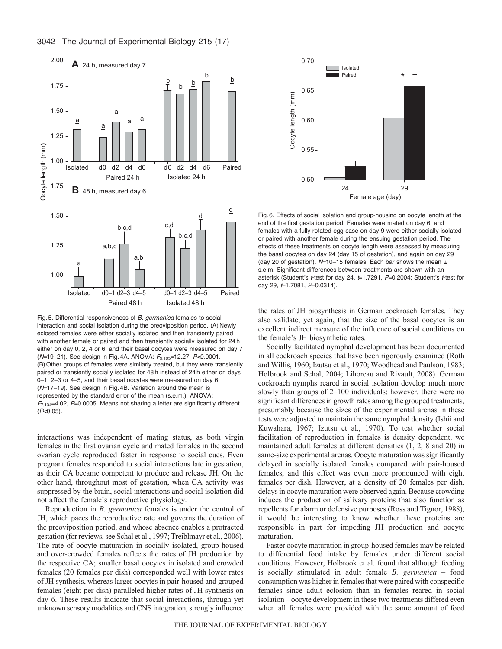



Fig. 5. Differential responsiveness of *B. germanica* females to social interaction and social isolation during the preoviposition period. (A) Newly eclosed females were either socially isolated and then transiently paired with another female or paired and then transiently socially isolated for 24 h either on day 0, 2, 4 or 6, and their basal oocytes were measured on day 7 (*N*=19-21). See design in Fig. 4A. ANOVA:  $F_{9,195}$ =12.27, *P<*0.0001. (B)Other groups of females were similarly treated, but they were transiently paired or transiently socially isolated for 48 h instead of 24 h either on days 0–1, 2–3 or 4–5, and their basal oocytes were measured on day 6 ( $N=17-19$ ). See design in Fig. 4B. Variation around the mean is represented by the standard error of the mean (s.e.m.). ANOVA:  $F_{7,134}$ =4.02,  $P=0.0005$ . Means not sharing a letter are significantly different (*P*<0.05).

interactions was independent of mating status, as both virgin females in the first ovarian cycle and mated females in the second ovarian cycle reproduced faster in response to social cues. Even pregnant females responded to social interactions late in gestation, as their CA became competent to produce and release JH. On the other hand, throughout most of gestation, when CA activity was suppressed by the brain, social interactions and social isolation did not affect the female's reproductive physiology.

Reproduction in *B. germanica* females is under the control of JH, which paces the reproductive rate and governs the duration of the preoviposition period, and whose absence enables a protracted gestation (for reviews, see Schal et al., 1997; Treiblmayr et al., 2006). The rate of oocyte maturation in socially isolated, group-housed and over-crowded females reflects the rates of JH production by the respective CA; smaller basal oocytes in isolated and crowded females (20 females per dish) corresponded well with lower rates of JH synthesis, whereas larger oocytes in pair-housed and grouped females (eight per dish) paralleled higher rates of JH synthesis on day 6. These results indicate that social interactions, through yet unknown sensory modalities and CNS integration, strongly influence



Fig. 6. Effects of social isolation and group-housing on oocyte length at the end of the first gestation period. Females were mated on day 6, and females with a fully rotated egg case on day 9 were either socially isolated or paired with another female during the ensuing gestation period. The effects of these treatments on oocyte length were assessed by measuring the basal oocytes on day 24 (day 15 of gestation), and again on day 29 (day 20 of gestation).  $N=10-15$  females. Each bar shows the mean  $\pm$ s.e.m. Significant differences between treatments are shown with an asterisk (Student's *t*-test for day 24, *t*=1.7291, *P*=0.2004; Student's *t*-test for day 29,  $t=1.7081$ ,  $P=0.0314$ ).

the rates of JH biosynthesis in German cockroach females. They also validate, yet again, that the size of the basal oocytes is an excellent indirect measure of the influence of social conditions on the female's JH biosynthetic rates.

Socially facilitated nymphal development has been documented in all cockroach species that have been rigorously examined (Roth and Willis, 1960; Izutsu et al., 1970; Woodhead and Paulson, 1983; Holbrook and Schal, 2004; Lihoreau and Rivault, 2008). German cockroach nymphs reared in social isolation develop much more slowly than groups of 2–100 individuals; however, there were no significant differences in growth rates among the grouped treatments, presumably because the sizes of the experimental arenas in these tests were adjusted to maintain the same nymphal density (Ishii and Kuwahara, 1967; Izutsu et al., 1970). To test whether social facilitation of reproduction in females is density dependent, we maintained adult females at different densities (1, 2, 8 and 20) in same-size experimental arenas. Oocyte maturation was significantly delayed in socially isolated females compared with pair-housed females, and this effect was even more pronounced with eight females per dish. However, at a density of 20 females per dish, delays in oocyte maturation were observed again. Because crowding induces the production of salivary proteins that also function as repellents for alarm or defensive purposes (Ross and Tignor, 1988), it would be interesting to know whether these proteins are responsible in part for impeding JH production and oocyte maturation.

Faster oocyte maturation in group-housed females may be related to differential food intake by females under different social conditions. However, Holbrook et al. found that although feeding is socially stimulated in adult female *B. germanica* – food consumption was higher in females that were paired with conspecific females since adult eclosion than in females reared in social isolation – oocyte development in these two treatments differed even when all females were provided with the same amount of food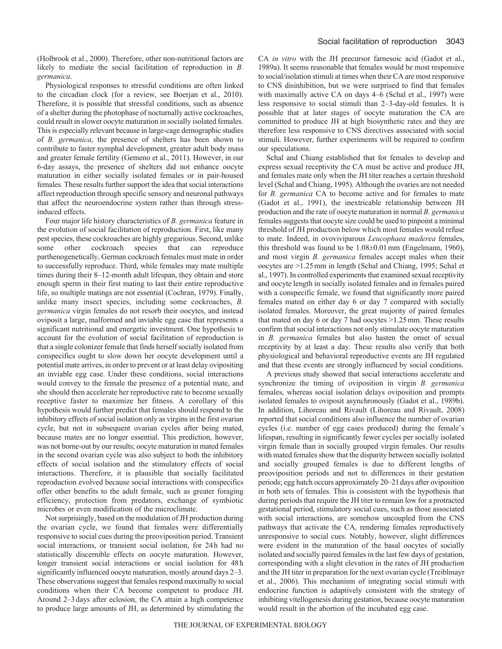(Holbrook et al., 2000). Therefore, other non-nutritional factors are likely to mediate the social facilitation of reproduction in *B. germanica*.

Physiological responses to stressful conditions are often linked to the circadian clock (for a review, see Boerjan et al., 2010). Therefore, it is possible that stressful conditions, such as absence of a shelter during the photophase of nocturnally active cockroaches, could result in slower oocyte maturation in socially isolated females. This is especially relevant because in large-cage demographic studies of *B. germanica*, the presence of shelters has been shown to contribute to faster nymphal development, greater adult body mass and greater female fertility (Gemeno et al., 2011). However, in our 6-day assays, the presence of shelters did not enhance oocyte maturation in either socially isolated females or in pair-housed females. These results further support the idea that social interactions affect reproduction through specific sensory and neuronal pathways that affect the neuroendocrine system rather than through stressinduced effects.

Four major life history characteristics of *B. germanica* feature in the evolution of social facilitation of reproduction. First, like many pest species, these cockroaches are highly gregarious. Second, unlike some other cockroach species that can reproduce parthenogenetically, German cockroach females must mate in order to successfully reproduce. Third, while females may mate multiple times during their 8–12-month adult lifespan, they obtain and store enough sperm in their first mating to last their entire reproductive life, so multiple matings are not essential (Cochran, 1979). Finally, unlike many insect species, including some cockroaches, *B. germanica* virgin females do not resorb their oocytes, and instead oviposit a large, malformed and inviable egg case that represents a significant nutritional and energetic investment. One hypothesis to account for the evolution of social facilitation of reproduction is that a single colonizer female that finds herself socially isolated from conspecifics ought to slow down her oocyte development until a potential mate arrives, in order to prevent or at least delay ovipositing an inviable egg case. Under these conditions, social interactions would convey to the female the presence of a potential mate, and she should then accelerate her reproductive rate to become sexually receptive faster to maximize her fitness. A corollary of this hypothesis would further predict that females should respond to the inhibitory effects of social isolation only as virgins in the first ovarian cycle, but not in subsequent ovarian cycles after being mated, because mates are no longer essential. This prediction, however, was not borne-out by our results; oocyte maturation in mated females in the second ovarian cycle was also subject to both the inhibitory effects of social isolation and the stimulatory effects of social interactions. Therefore, it is plausible that socially facilitated reproduction evolved because social interactions with conspecifics offer other benefits to the adult female, such as greater foraging efficiency, protection from predators, exchange of symbiotic microbes or even modification of the microclimate.

Not surprisingly, based on the modulation of JH production during the ovarian cycle, we found that females were differentially responsive to social cues during the preoviposition period. Transient social interactions, or transient social isolation, for 24h had no statistically discernible effects on oocyte maturation. However, longer transient social interactions or social isolation for 48h significantly influenced oocyte maturation, mostly around days 2–3. These observations suggest that females respond maximally to social conditions when their CA become competent to produce JH. Around 2–3days after eclosion, the CA attain a high competence to produce large amounts of JH, as determined by stimulating the CA *in vitro* with the JH precursor farnesoic acid (Gadot et al., 1989a). It seems reasonable that females would be most responsive to social/isolation stimuli at times when their CA are most responsive to CNS disinhibition, but we were surprised to find that females with maximally active CA on days 4–6 (Schal et al., 1997) were less responsive to social stimuli than 2–3-day-old females. It is possible that at later stages of oocyte maturation the CA are committed to produce JH at high biosynthetic rates and they are therefore less responsive to CNS directives associated with social stimuli. However, further experiments will be required to confirm our speculations.

Schal and Chiang established that for females to develop and express sexual receptivity the CA must be active and produce JH, and females mate only when the JH titer reaches a certain threshold level (Schal and Chiang, 1995). Although the ovaries are not needed for *B. germanica* CA to become active and for females to mate (Gadot et al., 1991), the inextricable relationship between JH production and the rate of oocyte maturation in normal *B. germanica* females suggests that oocyte size could be used to pinpoint a minimal threshold of JH production below which most females would refuse to mate. Indeed, in ovoviviparous *Leucophaea maderea* females, this threshold was found to be 1.08±0.01mm (Engelmann, 1960), and most virgin *B. germanica* females accept males when their oocytes are >1.25mm in length (Schal and Chiang, 1995; Schal et al., 1997). In controlled experiments that examined sexual receptivity and oocyte length in socially isolated females and in females paired with a conspecific female, we found that significantly more paired females mated on either day 6 or day 7 compared with socially isolated females. Moreover, the great majority of paired females that mated on day 6 or day 7 had oocytes >1.25mm. These results confirm that social interactions not only stimulate oocyte maturation in *B. germanica* females but also hasten the onset of sexual receptivity by at least a day. These results also verify that both physiological and behavioral reproductive events are JH regulated and that these events are strongly influenced by social conditions.

A previous study showed that social interactions accelerate and synchronize the timing of oviposition in virgin *B. germanica* females, whereas social isolation delays oviposition and prompts isolated females to oviposit asynchronously (Gadot et al., 1989b). In addition, Lihoreau and Rivault (Lihoreau and Rivault, 2008) reported that social conditions also influence the number of ovarian cycles (i.e. number of egg cases produced) during the female's lifespan, resulting in significantly fewer cycles per socially isolated virgin female than in socially grouped virgin females. Our results with mated females show that the disparity between socially isolated and socially grouped females is due to different lengths of preoviposition periods and not to differences in their gestation periods; egg hatch occurs approximately 20–21days after oviposition in both sets of females. This is consistent with the hypothesis that during periods that require the JH titer to remain low for a protracted gestational period, stimulatory social cues, such as those associated with social interactions, are somehow uncoupled from the CNS pathways that activate the CA, rendering females reproductively unresponsive to social cues. Notably, however, slight differences were evident in the maturation of the basal oocytes of socially isolated and socially paired females in the last few days of gestation, corresponding with a slight elevation in the rates of JH production and the JH titer in preparation for the next ovarian cycle (Treiblmayr et al., 2006). This mechanism of integrating social stimuli with endocrine function is adaptively consistent with the strategy of inhibiting vitellogenesis during gestation, because oocyte maturation would result in the abortion of the incubated egg case.